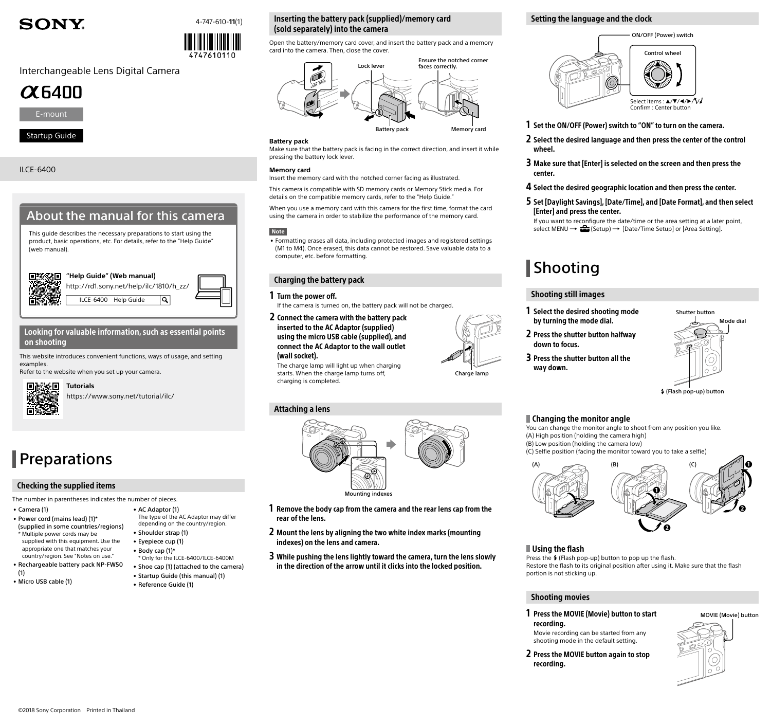## **SONY.**



# 4747610110

## Interchangeable Lens Digital Camera





## Startup Guide

ILCE-6400





### Looking for valuable information, such as essential points on shooting

This website introduces convenient functions, ways of usage, and setting examples.

Refer to the website when you set up your camera.



https://www.sony.net/tutorial/ilc/ **Tutorials**

## **Preparations**

## Checking the supplied items

The number in parentheses indicates the number of pieces.

- Camera (1) • Power cord (mains lead) (1)\*
- (supplied in some countries/regions) \* Multiple power cords may be supplied with this equipment. Use the
- appropriate one that matches your country/region. See "[Notes on use.](#page-1-0)" • Rechargeable battery pack NP-FW50
- (1) • Micro USB cable (1)

## Inserting the battery pack (supplied)/memory card (sold separately) into the camera

Open the battery/memory card cover, and insert the battery pack and a memory card into the camera. Then, close the cover.



### **Battery pack**

Make sure that the battery pack is facing in the correct direction, and insert it while pressing the battery lock lever.

### **Memory card**

Insert the memory card with the notched corner facing as illustrated.

This camera is compatible with SD memory cards or Memory Stick media. For details on the compatible memory cards, refer to the "Help Guide."

When you use a memory card with this camera for the first time, format the card using the camera in order to stabilize the performance of the memory card.

### **Note**

• Formatting erases all data, including protected images and registered settings (M1 to M4). Once erased, this data cannot be restored. Save valuable data to a computer, etc. before formatting.

## Charging the battery pack

### 1 Turn the power off.

- If the camera is turned on, the battery pack will not be charged.
- 2 Connect the camera with the battery pack inserted to the AC Adaptor (supplied) using the micro USB cable (supplied), and connect the AC Adaptor to the wall outlet (wall socket).

The charge lamp will light up when charging starts. When the charge lamp turns off, charging is completed.

## Attaching a lens



Charge lamp

- 1 Remove the body cap from the camera and the rear lens cap from the rear of the lens.
- 2 Mount the lens by aligning the two white index marks (mounting indexes) on the lens and camera.
- 3 While pushing the lens lightly toward the camera, turn the lens slowly in the direction of the arrow until it clicks into the locked position.

## Setting the language and the clock



- 1 Set the ON/OFF (Power) switch to "ON" to turn on the camera.
- 2 Select the desired language and then press the center of the control wheel
- 3 Make sure that [Enter] is selected on the screen and then press the center.
- 4 Select the desired geographic location and then press the center.
- 5 Set [Daylight Savings], [Date/Time], and [Date Format], and then select [Enter] and press the center.

If you want to reconfigure the date/time or the area setting at a later point, select MENU  $\rightarrow$   $\blacksquare$  (Setup)  $\rightarrow$  [Date/Time Setup] or [Area Setting].

## **Shooting**

## Shooting still images

- 1 Select the desired shooting mode by turning the mode dial.
- 2 Press the shutter button halfway down to focus.
- 3 Press the shutter button all the way down.



(Flash pop-up) button

## Changing the monitor angle

You can change the monitor angle to shoot from any position you like. (A) High position (holding the camera high) (B) Low position (holding the camera low)

(C) Selfie position (facing the monitor toward you to take a selfie)



### Using the flash

Press the  $\frac{4}{7}$  (Flash pop-up) button to pop up the flash. Restore the flash to its original position after using it. Make sure that the flash portion is not sticking up.

## Shooting movies

1 Press the MOVIE (Movie) button to start recording.

Movie recording can be started from any shooting mode in the default setting.

2 Press the MOVIE button again to stop recording.





- Eyepiece cup (1) • Body cap (1)\* \* Only for the ILCE-6400/ILCE-6400M • Shoe cap (1) (attached to the camera)
- Startup Guide (this manual) (1) • Reference Guide (1)
- AC Adaptor (1) The type of the AC Adaptor may differ